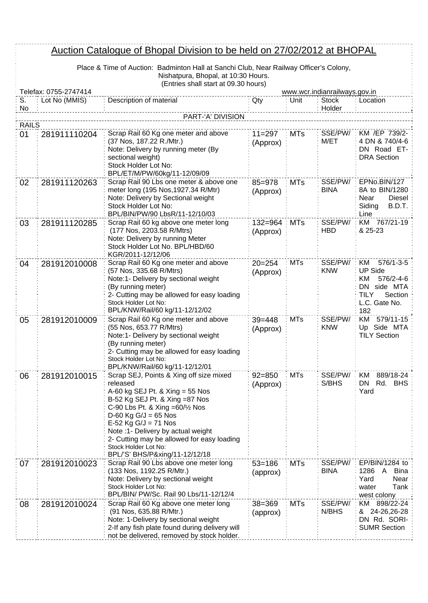## Auction Catalogue of Bhopal Division to be held on 27/02/2012 at BHOPAL

| Place & Time of Auction: Badminton Hall at Sanchi Club, Near Railway Officer's Colony, |
|----------------------------------------------------------------------------------------|
| Nishatpura, Bhopal, at 10:30 Hours.                                                    |
| (Entries shall start at 09.30 hours)                                                   |

|              | <u>Auction Catalogue of Bhopal Division to be held on 27/02/2012 at BHOPAL</u>                 |                                                                                                                                                                                                                                                                                                                                                                         |                        |            |                        |                                                                                                                      |  |  |  |  |
|--------------|------------------------------------------------------------------------------------------------|-------------------------------------------------------------------------------------------------------------------------------------------------------------------------------------------------------------------------------------------------------------------------------------------------------------------------------------------------------------------------|------------------------|------------|------------------------|----------------------------------------------------------------------------------------------------------------------|--|--|--|--|
|              | Place & Time of Auction: Badminton Hall at Sanchi Club, Near Railway Officer's Colony,         |                                                                                                                                                                                                                                                                                                                                                                         |                        |            |                        |                                                                                                                      |  |  |  |  |
|              |                                                                                                | Nishatpura, Bhopal, at 10:30 Hours.                                                                                                                                                                                                                                                                                                                                     |                        |            |                        |                                                                                                                      |  |  |  |  |
|              | (Entries shall start at 09.30 hours)<br>Telefax: 0755-2747414<br>www.wcr.indianrailways.gov.in |                                                                                                                                                                                                                                                                                                                                                                         |                        |            |                        |                                                                                                                      |  |  |  |  |
| S.           | Lot No (MMIS)                                                                                  | Description of material                                                                                                                                                                                                                                                                                                                                                 | Qty                    | Unit       | <b>Stock</b>           | Location                                                                                                             |  |  |  |  |
|              | No<br>Holder<br>PART-'A' DIVISION                                                              |                                                                                                                                                                                                                                                                                                                                                                         |                        |            |                        |                                                                                                                      |  |  |  |  |
| <b>RAILS</b> |                                                                                                |                                                                                                                                                                                                                                                                                                                                                                         |                        |            |                        |                                                                                                                      |  |  |  |  |
| 01           | 281911110204                                                                                   | Scrap Rail 60 Kg one meter and above<br>(37 Nos, 187.22 R./Mtr.)<br>Note: Delivery by running meter (By<br>sectional weight)<br>Stock Holder Lot No:                                                                                                                                                                                                                    | $11 = 297$<br>(Approx) | <b>MTs</b> | SSE/PW/<br>M/ET        | KM /EP 739/2-<br>4 DN & 740/4-6<br>DN Road ET-<br><b>DRA Section</b>                                                 |  |  |  |  |
| 02           | 281911120263                                                                                   | BPL/ET/M/PW/60kg/11-12/09/09<br>Scrap Rail 90 Lbs one meter & above one<br>meter long (195 Nos, 1927.34 R/Mtr)<br>Note: Delivery by Sectional weight<br>Stock Holder Lot No:<br>BPL/BIN/PW/90 LbsR/11-12/10/03                                                                                                                                                          | 85=978<br>(Approx)     | <b>MTs</b> | SSE/PW/<br><b>BINA</b> | EPNo.BIN/127<br>8A to BIN/1280<br>Diesel<br>Near<br>B.D.T.<br>Siding<br>Line                                         |  |  |  |  |
| 03           | 281911120285                                                                                   | Scrap Rail 60 kg above one meter long<br>(177 Nos, 2203.58 R/Mtrs)<br>Note: Delivery by running Meter<br>Stock Holder Lot No. BPL/HBD/60<br>KGR/2011-12/12/06                                                                                                                                                                                                           | 132=964<br>(Approx)    | <b>MTs</b> | SSE/PW/<br><b>HBD</b>  | KM 767/21-19<br>& 25-23                                                                                              |  |  |  |  |
| 04           | 281912010008                                                                                   | Scrap Rail 60 Kg one meter and above<br>(57 Nos, 335.68 R/Mtrs)<br>Note:1- Delivery by sectional weight<br>(By running meter)<br>2- Cutting may be allowed for easy loading<br>Stock Holder Lot No:<br>BPL/KNW/Rail/60 kg/11-12/12/02                                                                                                                                   | $20 = 254$<br>(Approx) | <b>MTs</b> | SSE/PW/<br><b>KNW</b>  | KM<br>$576/1 - 3 - 5$<br><b>UP Side</b><br>ΚM<br>576/2-4-6<br>DN side MTA<br>TILY<br>Section<br>L.C. Gate No.<br>182 |  |  |  |  |
| 05           | 281912010009                                                                                   | Scrap Rail 60 Kg one meter and above<br>(55 Nos, 653.77 R/Mtrs)<br>Note:1- Delivery by sectional weight<br>(By running meter)<br>2- Cutting may be allowed for easy loading<br>Stock Holder Lot No:<br>BPL/KNW/Rail/60 kg/11-12/12/01                                                                                                                                   | $39 = 448$<br>(Approx) | <b>MTs</b> | SSE/PW/<br><b>KNW</b>  | KM 579/11-15<br>Up Side MTA<br><b>TILY Section</b>                                                                   |  |  |  |  |
| 06           | 281912010015                                                                                   | Scrap SEJ, Points & Xing off size mixed<br>released<br>A-60 kg SEJ Pt. & Xing = 55 Nos<br>B-52 Kg SEJ Pt. & Xing =87 Nos<br>C-90 Lbs Pt. & Xing = $60\frac{1}{2}$ Nos<br>$D-60$ Kg G/J = 65 Nos<br>$E-52$ Kg G/J = 71 Nos<br>Note :1- Delivery by actual weight<br>2- Cutting may be allowed for easy loading<br>Stock Holder Lot No:<br>BPL/'S' BHS/P&xing/11-12/12/18 | $92 = 850$<br>(Approx) | <b>MTs</b> | SSE/PW/<br>S/BHS       | 889/18-24<br>KM<br>Rd. BHS<br>DN<br>Yard                                                                             |  |  |  |  |
| 07           | 281912010023                                                                                   | Scrap Rail 90 Lbs above one meter long<br>(133 Nos, 1192.25 R/Mtr.)<br>Note: Delivery by sectional weight<br>Stock Holder Lot No:<br>BPL/BIN/ PW/Sc. Rail 90 Lbs/11-12/12/4                                                                                                                                                                                             | $53 = 186$<br>(approx) | <b>MTs</b> | SSE/PW/<br><b>BINA</b> | EP/BIN/1284 to<br>1286<br><b>Bina</b><br>A<br>Near<br>Yard<br>Tank<br>water<br>west colony                           |  |  |  |  |
| 08           | 281912010024                                                                                   | Scrap Rail 60 Kg above one meter long<br>(91 Nos, 635.88 R/Mtr.)<br>Note: 1-Delivery by sectional weight<br>2-If any fish plate found during delivery will<br>not be delivered, removed by stock holder.                                                                                                                                                                | $38 = 369$<br>(approx) | <b>MTs</b> | SSE/PW/<br>N/BHS       | KM 898/22-24<br>& 24-26,26-28<br>DN Rd. SORI-<br><b>SUMR Section</b>                                                 |  |  |  |  |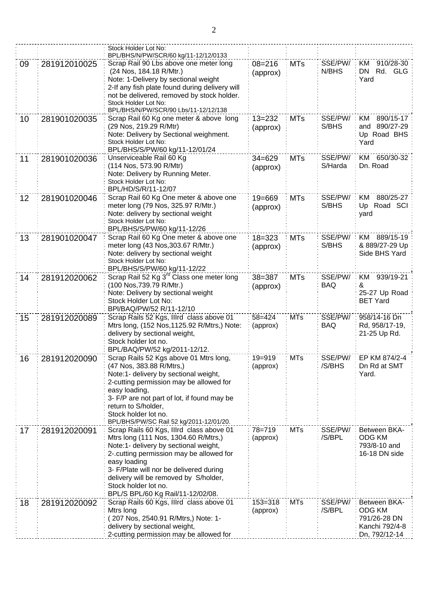| BPL/BHS/N/PW/SCR/60 kg/11-12/12/0133<br>SSE/PW/<br>KM<br>910/28-30<br>Scrap Rail 90 Lbs above one meter long<br>$08 = 216$<br><b>MTs</b><br>281912010025<br>09<br>N/BHS<br>(24 Nos, 184.18 R/Mtr.)<br>DN<br>Rd. GLG<br>(approx)<br>Note: 1-Delivery by sectional weight<br>Yard<br>2-If any fish plate found during delivery will<br>not be delivered, removed by stock holder.<br>Stock Holder Lot No:<br>BPL/BHS/N/PW/SCR/90 Lbs/11-12/12/138<br>Scrap Rail 60 Kg one meter & above long<br>$13 = 232$<br>SSE/PW/<br>KM<br>890/15-17<br>281901020035<br><b>MTs</b><br>10<br>(29 Nos, 219.29 R/Mtr)<br>S/BHS<br>and 890/27-29<br>(approx)<br>Note: Delivery by Sectional weighment.<br>Up Road BHS<br>Stock Holder Lot No:<br>Yard<br>BPL/BHS/S/PW/60 kg/11-12/01/24<br>SSE/PW/<br>KM 650/30-32<br>Unserviceable Rail 60 Kg<br><b>MTs</b><br>$34 = 629$<br>11<br>281901020036<br>(114 Nos, 573.90 R/Mtr)<br>Dn. Road<br>S/Harda<br>(approx)<br>Note: Delivery by Running Meter.<br>Stock Holder Lot No:<br>BPL/HD/S/R/11-12/07<br>SSE/PW/<br>880/25-27<br>Scrap Rail 60 Kg One meter & above one<br>$19 = 669$<br><b>MTs</b><br>KM<br>281901020046<br>12<br>meter long (79 Nos, 325.97 R/Mtr.)<br>S/BHS<br>Up Road SCI<br>(approx) |
|-------------------------------------------------------------------------------------------------------------------------------------------------------------------------------------------------------------------------------------------------------------------------------------------------------------------------------------------------------------------------------------------------------------------------------------------------------------------------------------------------------------------------------------------------------------------------------------------------------------------------------------------------------------------------------------------------------------------------------------------------------------------------------------------------------------------------------------------------------------------------------------------------------------------------------------------------------------------------------------------------------------------------------------------------------------------------------------------------------------------------------------------------------------------------------------------------------------------------------------|
|                                                                                                                                                                                                                                                                                                                                                                                                                                                                                                                                                                                                                                                                                                                                                                                                                                                                                                                                                                                                                                                                                                                                                                                                                                     |
|                                                                                                                                                                                                                                                                                                                                                                                                                                                                                                                                                                                                                                                                                                                                                                                                                                                                                                                                                                                                                                                                                                                                                                                                                                     |
|                                                                                                                                                                                                                                                                                                                                                                                                                                                                                                                                                                                                                                                                                                                                                                                                                                                                                                                                                                                                                                                                                                                                                                                                                                     |
|                                                                                                                                                                                                                                                                                                                                                                                                                                                                                                                                                                                                                                                                                                                                                                                                                                                                                                                                                                                                                                                                                                                                                                                                                                     |
|                                                                                                                                                                                                                                                                                                                                                                                                                                                                                                                                                                                                                                                                                                                                                                                                                                                                                                                                                                                                                                                                                                                                                                                                                                     |
|                                                                                                                                                                                                                                                                                                                                                                                                                                                                                                                                                                                                                                                                                                                                                                                                                                                                                                                                                                                                                                                                                                                                                                                                                                     |
|                                                                                                                                                                                                                                                                                                                                                                                                                                                                                                                                                                                                                                                                                                                                                                                                                                                                                                                                                                                                                                                                                                                                                                                                                                     |
|                                                                                                                                                                                                                                                                                                                                                                                                                                                                                                                                                                                                                                                                                                                                                                                                                                                                                                                                                                                                                                                                                                                                                                                                                                     |
|                                                                                                                                                                                                                                                                                                                                                                                                                                                                                                                                                                                                                                                                                                                                                                                                                                                                                                                                                                                                                                                                                                                                                                                                                                     |
|                                                                                                                                                                                                                                                                                                                                                                                                                                                                                                                                                                                                                                                                                                                                                                                                                                                                                                                                                                                                                                                                                                                                                                                                                                     |
|                                                                                                                                                                                                                                                                                                                                                                                                                                                                                                                                                                                                                                                                                                                                                                                                                                                                                                                                                                                                                                                                                                                                                                                                                                     |
|                                                                                                                                                                                                                                                                                                                                                                                                                                                                                                                                                                                                                                                                                                                                                                                                                                                                                                                                                                                                                                                                                                                                                                                                                                     |
|                                                                                                                                                                                                                                                                                                                                                                                                                                                                                                                                                                                                                                                                                                                                                                                                                                                                                                                                                                                                                                                                                                                                                                                                                                     |
|                                                                                                                                                                                                                                                                                                                                                                                                                                                                                                                                                                                                                                                                                                                                                                                                                                                                                                                                                                                                                                                                                                                                                                                                                                     |
|                                                                                                                                                                                                                                                                                                                                                                                                                                                                                                                                                                                                                                                                                                                                                                                                                                                                                                                                                                                                                                                                                                                                                                                                                                     |
|                                                                                                                                                                                                                                                                                                                                                                                                                                                                                                                                                                                                                                                                                                                                                                                                                                                                                                                                                                                                                                                                                                                                                                                                                                     |
|                                                                                                                                                                                                                                                                                                                                                                                                                                                                                                                                                                                                                                                                                                                                                                                                                                                                                                                                                                                                                                                                                                                                                                                                                                     |
|                                                                                                                                                                                                                                                                                                                                                                                                                                                                                                                                                                                                                                                                                                                                                                                                                                                                                                                                                                                                                                                                                                                                                                                                                                     |
| Note: delivery by sectional weight<br>yard                                                                                                                                                                                                                                                                                                                                                                                                                                                                                                                                                                                                                                                                                                                                                                                                                                                                                                                                                                                                                                                                                                                                                                                          |
| Stock Holder Lot No:                                                                                                                                                                                                                                                                                                                                                                                                                                                                                                                                                                                                                                                                                                                                                                                                                                                                                                                                                                                                                                                                                                                                                                                                                |
| BPL/BHS/S/PW/60 kg/11-12/26                                                                                                                                                                                                                                                                                                                                                                                                                                                                                                                                                                                                                                                                                                                                                                                                                                                                                                                                                                                                                                                                                                                                                                                                         |
| SSE/PW/<br>Scrap Rail 60 Kg One meter & above one<br>KM 889/15-19<br>281901020047<br>$18 = 323$<br><b>MTs</b><br>13                                                                                                                                                                                                                                                                                                                                                                                                                                                                                                                                                                                                                                                                                                                                                                                                                                                                                                                                                                                                                                                                                                                 |
| meter long (43 Nos, 303.67 R/Mtr.)<br>S/BHS<br>& 889/27-29 Up<br>(approx)                                                                                                                                                                                                                                                                                                                                                                                                                                                                                                                                                                                                                                                                                                                                                                                                                                                                                                                                                                                                                                                                                                                                                           |
| Note: delivery by sectional weight<br>Side BHS Yard                                                                                                                                                                                                                                                                                                                                                                                                                                                                                                                                                                                                                                                                                                                                                                                                                                                                                                                                                                                                                                                                                                                                                                                 |
| Stock Holder Lot No:                                                                                                                                                                                                                                                                                                                                                                                                                                                                                                                                                                                                                                                                                                                                                                                                                                                                                                                                                                                                                                                                                                                                                                                                                |
| BPL/BHS/S/PW/60 kg/11-12/22<br>Scrap Rail 52 Kg 3 <sup>rd</sup> Class one meter long                                                                                                                                                                                                                                                                                                                                                                                                                                                                                                                                                                                                                                                                                                                                                                                                                                                                                                                                                                                                                                                                                                                                                |
| $38 = 387$<br><b>MTs</b><br>SSE/PW/<br>939/19-21<br>281912020062<br>KM<br>14<br>(100 Nos, 739.79 R/Mtr.)<br><b>BAQ</b><br>&                                                                                                                                                                                                                                                                                                                                                                                                                                                                                                                                                                                                                                                                                                                                                                                                                                                                                                                                                                                                                                                                                                         |
| (approx)<br>Note: Delivery by sectional weight<br>25-27 Up Road                                                                                                                                                                                                                                                                                                                                                                                                                                                                                                                                                                                                                                                                                                                                                                                                                                                                                                                                                                                                                                                                                                                                                                     |
| Stock Holder Lot No:<br><b>BET Yard</b>                                                                                                                                                                                                                                                                                                                                                                                                                                                                                                                                                                                                                                                                                                                                                                                                                                                                                                                                                                                                                                                                                                                                                                                             |
| BPI/BAQ/PW/52 R/11-12/10                                                                                                                                                                                                                                                                                                                                                                                                                                                                                                                                                                                                                                                                                                                                                                                                                                                                                                                                                                                                                                                                                                                                                                                                            |
| <b>MTs</b><br>SSE/PW/<br>Scrap Rails 52 Kgs, Illrd class above 01<br>$58 = 424$<br>958/14-16 Dn<br>15<br>281912020089                                                                                                                                                                                                                                                                                                                                                                                                                                                                                                                                                                                                                                                                                                                                                                                                                                                                                                                                                                                                                                                                                                               |
| Mtrs long, (152 Nos, 1125.92 R/Mtrs,) Note:<br>(approx)<br><b>BAQ</b><br>Rd, 958/17-19,                                                                                                                                                                                                                                                                                                                                                                                                                                                                                                                                                                                                                                                                                                                                                                                                                                                                                                                                                                                                                                                                                                                                             |
| delivery by sectional weight,<br>21-25 Up Rd.                                                                                                                                                                                                                                                                                                                                                                                                                                                                                                                                                                                                                                                                                                                                                                                                                                                                                                                                                                                                                                                                                                                                                                                       |
| Stock holder lot no.                                                                                                                                                                                                                                                                                                                                                                                                                                                                                                                                                                                                                                                                                                                                                                                                                                                                                                                                                                                                                                                                                                                                                                                                                |
| BPL/BAQ/PW/52 kg/2011-12/12.                                                                                                                                                                                                                                                                                                                                                                                                                                                                                                                                                                                                                                                                                                                                                                                                                                                                                                                                                                                                                                                                                                                                                                                                        |
| 16<br>281912020090<br>Scrap Rails 52 Kgs above 01 Mtrs long,<br>$19 = 919$<br>MTs<br>SSE/PW/<br>EP KM 874/2-4                                                                                                                                                                                                                                                                                                                                                                                                                                                                                                                                                                                                                                                                                                                                                                                                                                                                                                                                                                                                                                                                                                                       |
| /S/BHS<br>(47 Nos, 383.88 R/Mtrs,)<br>Dn Rd at SMT<br>(approx)                                                                                                                                                                                                                                                                                                                                                                                                                                                                                                                                                                                                                                                                                                                                                                                                                                                                                                                                                                                                                                                                                                                                                                      |
| Note:1- delivery by sectional weight,<br>Yard.                                                                                                                                                                                                                                                                                                                                                                                                                                                                                                                                                                                                                                                                                                                                                                                                                                                                                                                                                                                                                                                                                                                                                                                      |
| 2-cutting permission may be allowed for                                                                                                                                                                                                                                                                                                                                                                                                                                                                                                                                                                                                                                                                                                                                                                                                                                                                                                                                                                                                                                                                                                                                                                                             |
| easy loading,                                                                                                                                                                                                                                                                                                                                                                                                                                                                                                                                                                                                                                                                                                                                                                                                                                                                                                                                                                                                                                                                                                                                                                                                                       |
| 3- F/P are not part of lot, if found may be<br>return to S/holder,                                                                                                                                                                                                                                                                                                                                                                                                                                                                                                                                                                                                                                                                                                                                                                                                                                                                                                                                                                                                                                                                                                                                                                  |
| Stock holder lot no.                                                                                                                                                                                                                                                                                                                                                                                                                                                                                                                                                                                                                                                                                                                                                                                                                                                                                                                                                                                                                                                                                                                                                                                                                |
| BPL/BHS/PW/SC Rail 52 kg/2011-12/01/20.                                                                                                                                                                                                                                                                                                                                                                                                                                                                                                                                                                                                                                                                                                                                                                                                                                                                                                                                                                                                                                                                                                                                                                                             |
| $78 = 719$<br><b>MTs</b><br>SSE/PW/<br>Scrap Rails 60 Kgs, Illrd class above 01<br>Between BKA-<br>17<br>281912020091                                                                                                                                                                                                                                                                                                                                                                                                                                                                                                                                                                                                                                                                                                                                                                                                                                                                                                                                                                                                                                                                                                               |
| Mtrs long (111 Nos, 1304.60 R/Mtrs,)<br>/S/BPL<br><b>ODG KM</b><br>(approx)                                                                                                                                                                                                                                                                                                                                                                                                                                                                                                                                                                                                                                                                                                                                                                                                                                                                                                                                                                                                                                                                                                                                                         |
| Note:1- delivery by sectional weight,<br>793/8-10 and                                                                                                                                                                                                                                                                                                                                                                                                                                                                                                                                                                                                                                                                                                                                                                                                                                                                                                                                                                                                                                                                                                                                                                               |
| 2-.cutting permission may be allowed for<br>16-18 DN side                                                                                                                                                                                                                                                                                                                                                                                                                                                                                                                                                                                                                                                                                                                                                                                                                                                                                                                                                                                                                                                                                                                                                                           |
| easy loading                                                                                                                                                                                                                                                                                                                                                                                                                                                                                                                                                                                                                                                                                                                                                                                                                                                                                                                                                                                                                                                                                                                                                                                                                        |
| 3- F/Plate will nor be delivered during                                                                                                                                                                                                                                                                                                                                                                                                                                                                                                                                                                                                                                                                                                                                                                                                                                                                                                                                                                                                                                                                                                                                                                                             |
| delivery will be removed by S/holder,                                                                                                                                                                                                                                                                                                                                                                                                                                                                                                                                                                                                                                                                                                                                                                                                                                                                                                                                                                                                                                                                                                                                                                                               |
| Stock holder lot no.                                                                                                                                                                                                                                                                                                                                                                                                                                                                                                                                                                                                                                                                                                                                                                                                                                                                                                                                                                                                                                                                                                                                                                                                                |
| BPL/S BPL/60 Kg Rail/11-12/02/08.                                                                                                                                                                                                                                                                                                                                                                                                                                                                                                                                                                                                                                                                                                                                                                                                                                                                                                                                                                                                                                                                                                                                                                                                   |
| $153 = 318$<br><b>MTs</b><br>SSE/PW/<br>Scrap Rails 60 Kgs, Illrd class above 01<br>Between BKA-<br>18<br>281912020092                                                                                                                                                                                                                                                                                                                                                                                                                                                                                                                                                                                                                                                                                                                                                                                                                                                                                                                                                                                                                                                                                                              |
| Mtrs long<br>/S/BPL<br>ODG KM<br>(approx)<br>791/26-28 DN                                                                                                                                                                                                                                                                                                                                                                                                                                                                                                                                                                                                                                                                                                                                                                                                                                                                                                                                                                                                                                                                                                                                                                           |
| (207 Nos, 2540.91 R/Mtrs,) Note: 1-<br>delivery by sectional weight,<br>Kanchi 792/4-8                                                                                                                                                                                                                                                                                                                                                                                                                                                                                                                                                                                                                                                                                                                                                                                                                                                                                                                                                                                                                                                                                                                                              |
|                                                                                                                                                                                                                                                                                                                                                                                                                                                                                                                                                                                                                                                                                                                                                                                                                                                                                                                                                                                                                                                                                                                                                                                                                                     |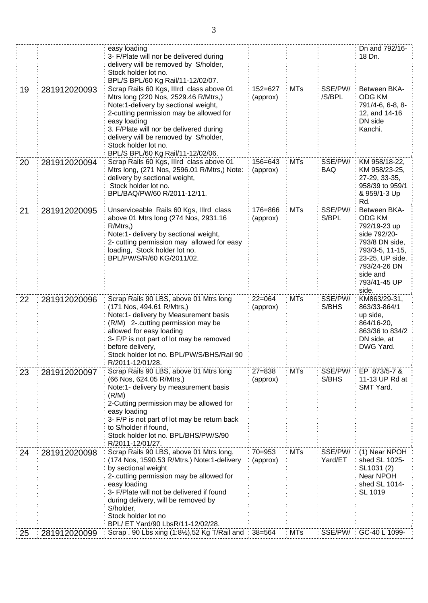|    |              | easy loading<br>3- F/Plate will nor be delivered during<br>delivery will be removed by S/holder,<br>Stock holder lot no.<br>BPL/S BPL/60 Kg Rail/11-12/02/07.                                                                                                                                                                         |                         |            |                       | Dn and 792/16-<br>18 Dn.                                                                                                                                                   |
|----|--------------|---------------------------------------------------------------------------------------------------------------------------------------------------------------------------------------------------------------------------------------------------------------------------------------------------------------------------------------|-------------------------|------------|-----------------------|----------------------------------------------------------------------------------------------------------------------------------------------------------------------------|
| 19 | 281912020093 | Scrap Rails 60 Kgs, Illrd class above 01<br>Mtrs long (220 Nos, 2529.46 R/Mtrs,)<br>Note:1-delivery by sectional weight,<br>2-cutting permission may be allowed for<br>easy loading<br>3. F/Plate will nor be delivered during<br>delivery will be removed by S/holder,<br>Stock holder lot no.<br>BPL/S BPL/60 Kg Rail/11-12/02/06.  | $152 = 627$<br>(approx) | <b>MTs</b> | SSE/PW/<br>/S/BPL     | Between BKA-<br><b>ODG KM</b><br>791/4-6, 6-8, 8-<br>12, and 14-16<br>DN side<br>Kanchi.                                                                                   |
| 20 | 281912020094 | Scrap Rails 60 Kgs, Illrd class above 01<br>Mtrs long, (271 Nos, 2596.01 R/Mtrs,) Note:<br>delivery by sectional weight,<br>Stock holder lot no.<br>BPL/BAQ/PW/60 R/2011-12/11.                                                                                                                                                       | 156=643<br>(approx)     | <b>MTs</b> | SSE/PW/<br><b>BAQ</b> | KM 958/18-22,<br>KM 958/23-25,<br>27-29, 33-35,<br>958/39 to 959/1<br>& 959/1-3 Up<br>Rd.                                                                                  |
| 21 | 281912020095 | Unserviceable Rails 60 Kgs, Illrd class<br>above 01 Mtrs long (274 Nos, 2931.16)<br>$R/M$ trs,)<br>Note:1- delivery by sectional weight,<br>2- cutting permission may allowed for easy<br>loading, Stock holder lot no.<br>BPL/PW/S/R/60 KG/2011/02.                                                                                  | 176=866<br>(approx)     | <b>MTs</b> | SSE/PW/<br>S/BPL      | Between BKA-<br><b>ODG KM</b><br>792/19-23 up<br>side 792/20-<br>793/8 DN side,<br>793/3-5, 11-15,<br>23-25, UP side.<br>793/24-26 DN<br>side and<br>793/41-45 UP<br>side. |
| 22 | 281912020096 | Scrap Rails 90 LBS, above 01 Mtrs long<br>(171 Nos, 494.61 R/Mtrs,)<br>Note:1- delivery by Measurement basis<br>(R/M) 2-.cutting permission may be<br>allowed for easy loading<br>3- F/P is not part of lot may be removed<br>before delivery,<br>Stock holder lot no. BPL/PW/S/BHS/Rail 90<br>R/2011-12/01/28.                       | $22=064$<br>(approx)    | <b>MTs</b> | SSE/PW/<br>S/BHS      | KM863/29-31,<br>863/33-864/1<br>up side,<br>864/16-20,<br>863/36 to 834/2<br>DN side, at<br>DWG Yard.                                                                      |
| 23 | 281912020097 | Scrap Rails 90 LBS, above 01 Mtrs long<br>(66 Nos, 624.05 R/Mtrs,)<br>Note:1- delivery by measurement basis<br>(R/M)<br>2-Cutting permission may be allowed for<br>easy loading<br>3- F/P is not part of lot may be return back<br>to S/holder if found,<br>Stock holder lot no. BPL/BHS/PW/S/90<br>R/2011-12/01/27.                  | $27 = 838$<br>(approx)  | <b>MTs</b> | SSE/PW/:<br>S/BHS     | EP 873/5-7 &<br>11-13 UP Rd at<br>SMT Yard.                                                                                                                                |
| 24 | 281912020098 | Scrap Rails 90 LBS, above 01 Mtrs long,<br>(174 Nos, 1590.53 R/Mtrs,) Note:1-delivery<br>by sectional weight<br>2-.cutting permission may be allowed for<br>easy loading<br>3- F/Plate will not be delivered if found<br>during delivery, will be removed by<br>S/holder,<br>Stock holder lot no<br>BPL/ ET Yard/90 LbsR/11-12/02/28. | $70 = 953$<br>(approx)  | <b>MTs</b> | SSE/PW/<br>Yard/ET    | (1) Near NPOH<br>shed SL 1025-<br>SL1031 (2)<br>Near NPOH<br>shed SL 1014-<br>SL 1019                                                                                      |
| 25 | 281912020099 | Scrap. 90 Lbs xing (1:81/2), 52 Kg T/Rail and : 38=564                                                                                                                                                                                                                                                                                |                         | : MTs      |                       | SSE/PW/: GC-40 L 1099-                                                                                                                                                     |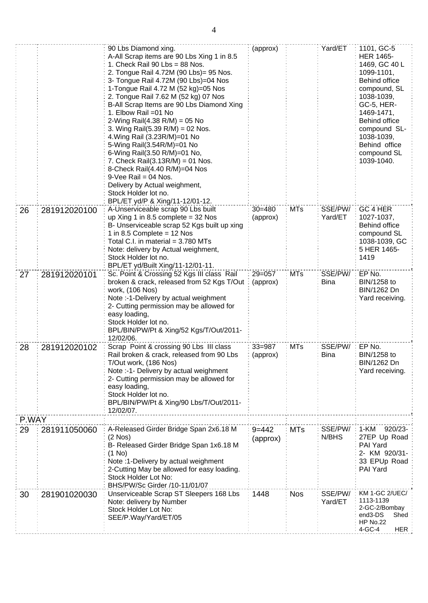|       |              | 90 Lbs Diamond xing.<br>A-All Scrap items are 90 Lbs Xing 1 in 8.5<br>1. Check Rail 90 $Lbs = 88$ Nos.<br>2. Tongue Rail 4.72M (90 Lbs)= 95 Nos.<br>3- Tongue Rail 4.72M (90 Lbs)=04 Nos<br>1-Tongue Rail 4.72 M (52 kg)=05 Nos<br>2. Tongue Rail 7.62 M (52 kg) 07 Nos<br>B-All Scrap Items are 90 Lbs Diamond Xing<br>1. Elbow Rail = 01 No<br>2-Wing Rail(4.38 R/M) = 05 No<br>3. Wing Rail(5.39 R/M) = 02 Nos.<br>4. Wing Rail (3.23R/M)=01 No<br>5-Wing Rail(3.54R/M)=01 No<br>6-Wing Rail(3.50 R/M)=01 No,<br>7. Check Rail $(3.13R/M) = 01$ Nos.<br>8-Check Rail(4.40 R/M)=04 Nos<br>$9$ -Vee Rail = 04 Nos.<br>Delivery by Actual weighment,<br>Stock Holder lot no.<br>BPL/ET yd/P & Xing/11-12/01-12. | (approx)               |            | Yard/ET            | 1101, GC-5<br><b>HER 1465-</b><br>1469, GC 40 L<br>1099-1101.<br>Behind office<br>compound, SL<br>1038-1039,<br>GC-5, HER-<br>1469-1471,<br><b>Behind office</b><br>compound SL-<br>1038-1039,<br>Behind office<br>compound SL<br>1039-1040. |
|-------|--------------|-----------------------------------------------------------------------------------------------------------------------------------------------------------------------------------------------------------------------------------------------------------------------------------------------------------------------------------------------------------------------------------------------------------------------------------------------------------------------------------------------------------------------------------------------------------------------------------------------------------------------------------------------------------------------------------------------------------------|------------------------|------------|--------------------|----------------------------------------------------------------------------------------------------------------------------------------------------------------------------------------------------------------------------------------------|
| 26    | 281912020100 | A-Unserviceable scrap 90 Lbs built<br>up Xing 1 in 8.5 complete = $32$ Nos<br>B- Unserviceable scrap 52 Kgs built up xing<br>1 in 8.5 Complete = $12$ Nos<br>Total C.I. in material $= 3.780$ MTs<br>Note: delivery by Actual weighment,<br>Stock Holder lot no.<br>BPL/ET yd/Built Xing/11-12/01-11.                                                                                                                                                                                                                                                                                                                                                                                                           | $30 = 480$<br>(approx) | <b>MTs</b> | SSE/PW/<br>Yard/ET | GC 4 HER<br>1027-1037,<br>Behind office<br>compound SL<br>1038-1039, GC<br>5 HER 1465-<br>1419                                                                                                                                               |
| 27    | 281912020101 | Sc. Point & Crossing 52 Kgs III class Rail<br>broken & crack, released from 52 Kgs T/Out:<br>work, (106 Nos)<br>Note :-1-Delivery by actual weighment<br>2- Cutting permission may be allowed for<br>easy loading,<br>Stock Holder lot no.<br>BPL/BIN/PW/Pt & Xing/52 Kgs/T/Out/2011-<br>12/02/06.                                                                                                                                                                                                                                                                                                                                                                                                              | $29 = 057$<br>(approx) | <b>MTs</b> | SSE/PW/<br>Bina    | EP No.<br>BIN/1258 to<br>BIN/1262 Dn<br>Yard receiving.                                                                                                                                                                                      |
| 28    | 281912020102 | Scrap Point & crossing 90 Lbs III class<br>Rail broken & crack, released from 90 Lbs<br>T/Out work, (186 Nos)<br>Note :-1- Delivery by actual weighment<br>2- Cutting permission may be allowed for<br>easy loading,<br>Stock Holder lot no.<br>BPL/BIN/PW/Pt & Xing/90 Lbs/T/Out/2011-<br>12/02/07.                                                                                                                                                                                                                                                                                                                                                                                                            | $33 = 987$<br>(approx) | <b>MTs</b> | SSE/PW/<br>Bina    | EP No.<br>BIN/1258 to<br>BIN/1262 Dn<br>Yard receiving.                                                                                                                                                                                      |
| P.WAY |              |                                                                                                                                                                                                                                                                                                                                                                                                                                                                                                                                                                                                                                                                                                                 |                        |            |                    |                                                                                                                                                                                                                                              |
| 29    | 281911050060 | A-Released Girder Bridge Span 2x6.18 M<br>$(2$ Nos $)$<br>B- Released Girder Bridge Span 1x6.18 M<br>(1 No)<br>Note :1-Delivery by actual weighment<br>2-Cutting May be allowed for easy loading.<br>Stock Holder Lot No:<br>BHS/PW/Sc Girder /10-11/01/07                                                                                                                                                                                                                                                                                                                                                                                                                                                      | $9 = 442$<br>(approx)  | <b>MTs</b> | SSE/PW/:<br>N/BHS  | 1-KM<br>920/23-<br>27EP Up Road<br>PAI Yard<br>2- KM 920/31-<br>33 EPUp Road<br>PAI Yard                                                                                                                                                     |
| 30    | 281901020030 | Unserviceable Scrap ST Sleepers 168 Lbs<br>Note: delivery by Number<br>Stock Holder Lot No:<br>SEE/P.Way/Yard/ET/05                                                                                                                                                                                                                                                                                                                                                                                                                                                                                                                                                                                             | 1448                   | <b>Nos</b> | SSE/PW/<br>Yard/ET | <b>KM 1-GC 2/UEC/</b><br>1113-1139<br>2-GC-2/Bombay<br>end3-DS<br>Shed<br><b>HP No.22</b><br>4-GC-4<br>HER                                                                                                                                   |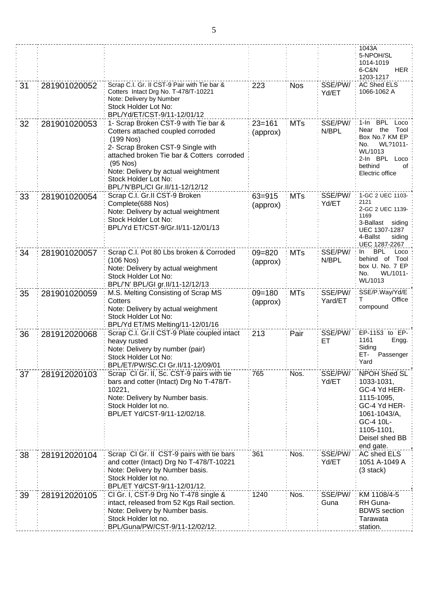|    |              |                                                                                                                                                                                                                                                                                             |                        |            |                    | 1043A<br>5-NPOH/SL<br>1014-1019<br><b>HER</b><br>6-C&N<br>1203-1217                                                                                |
|----|--------------|---------------------------------------------------------------------------------------------------------------------------------------------------------------------------------------------------------------------------------------------------------------------------------------------|------------------------|------------|--------------------|----------------------------------------------------------------------------------------------------------------------------------------------------|
| 31 | 281901020052 | Scrap C.I. Gr. II CST-9 Pair with Tie bar &<br>Cotters Intact Drg No. T-478/T-10221<br>Note: Delivery by Number<br>Stock Holder Lot No:<br>BPL/Yd/ET/CST-9/11-12/01/12                                                                                                                      | 223                    | <b>Nos</b> | SSE/PW/<br>Yd/ET   | <b>AC Shed ELS</b><br>1066-1062 A                                                                                                                  |
| 32 | 281901020053 | 1- Scrap Broken CST-9 with Tie bar &<br>Cotters attached coupled corroded<br>$(199$ Nos)<br>2- Scrap Broken CST-9 Single with<br>attached broken Tie bar & Cotters corroded<br>$(95$ Nos)<br>Note: Delivery by actual weightment<br>Stock Holder Lot No:<br>BPL/'N'BPL/CI Gr.II/11-12/12/12 | $23 = 161$<br>(approx) | <b>MTs</b> | SSE/PW/<br>N/BPL   | 1-In BPL<br>Loco<br>Near the<br>Tool<br>Box No.7 KM EP<br>WL?1011-<br>No.<br>WL/1013<br>2-In BPL Loco<br>bethind<br>of<br>Electric office          |
| 33 | 281901020054 | Scrap C.I. Gr.II CST-9 Broken<br>Complete(688 Nos)<br>Note: Delivery by actual weightment<br>Stock Holder Lot No:<br>BPL/Yd ET/CST-9/Gr.II/11-12/01/13                                                                                                                                      | $63 = 915$<br>(approx) | <b>MTs</b> | SSE/PW/<br>Yd/ET   | 1-GC 2 UEC 1103-<br>2121<br>2-GC 2 UEC 1139-<br>1169<br>3-Ballast siding<br>UEC 1307-1287<br>4-Ballst<br>siding<br>UEC 1287-2267                   |
| 34 | 281901020057 | Scrap C.I. Pot 80 Lbs broken & Corroded<br>$(106$ Nos)<br>Note: Delivery by actual weighment<br>Stock Holder Lot No:<br>BPL/'N' BPL/GI gr.II/11-12/12/13                                                                                                                                    | $09 = 820$<br>(approx) | <b>MTs</b> | SSE/PW/<br>N/BPL   | <b>BPL</b><br>Loco<br>In.<br>behind of Tool<br>box U. No. 7 EP<br>No.<br>WL/1011-<br>WL/1013                                                       |
| 35 | 281901020059 | M.S. Melting Consisting of Scrap MS<br>Cotters<br>Note: Delivery by actual weighment<br>Stock Holder Lot No:<br>BPL/Yd ET/MS Melting/11-12/01/16                                                                                                                                            | $09 = 180$<br>(approx) | <b>MTs</b> | SSE/PW/<br>Yard/ET | SSE/P.Way/Yd/E<br>Office<br>T<br>compound                                                                                                          |
| 36 | 281912020068 | Scrap C.I. Gr.II CST-9 Plate coupled intact<br>heavy rusted<br>Note: Delivery by number (pair)<br>Stock Holder Lot No:<br>BPL/ET/PW/SC.CI Gr.II/11-12/09/01                                                                                                                                 | 213                    | Pair       | SSE/PW/<br>ET      | EP-1153 to EP-<br>1161<br>Engg.<br>Siding<br>ET-<br>Passenger<br>Yard                                                                              |
| 37 | 281912020103 | Scrap CI Gr. II, Sc. CST-9 pairs with tie<br>bars and cotter (Intact) Drg No T-478/T-<br>10221,<br>Note: Delivery by Number basis.<br>Stock Holder lot no.<br>BPL/ET Yd/CST-9/11-12/02/18.                                                                                                  | 765                    | Nos.       | SSE/PW/<br>Yd/ET   | NPOH Shed SL<br>1033-1031,<br>GC-4 Yd HER-<br>1115-1095,<br>GC-4 Yd HER-<br>1061-1043/A,<br>GC-4 10L-<br>1105-1101,<br>Deisel shed BB<br>end gate. |
| 38 | 281912020104 | Scrap CI Gr. II CST-9 pairs with tie bars<br>and cotter (Intact) Drg No T-478/T-10221<br>Note: Delivery by Number basis.<br>Stock Holder lot no.<br>BPL/ET Yd/CST-9/11-12/01/12.                                                                                                            | 361                    | Nos.       | SSE/PW/<br>Yd/ET   | AC shed ELS<br>1051 A-1049 A<br>(3 stack)                                                                                                          |
| 39 | 281912020105 | CI Gr. I, CST-9 Drg No T-478 single &<br>intact, released from 52 Kgs Rail section.<br>Note: Delivery by Number basis.<br>Stock Holder lot no.<br>BPL/Guna/PW/CST-9/11-12/02/12.                                                                                                            | 1240                   | Nos.       | SSE/PW/<br>Guna    | KM 1108/4-5<br>RH Guna-<br><b>BDWS</b> section<br>Tarawata<br>station.                                                                             |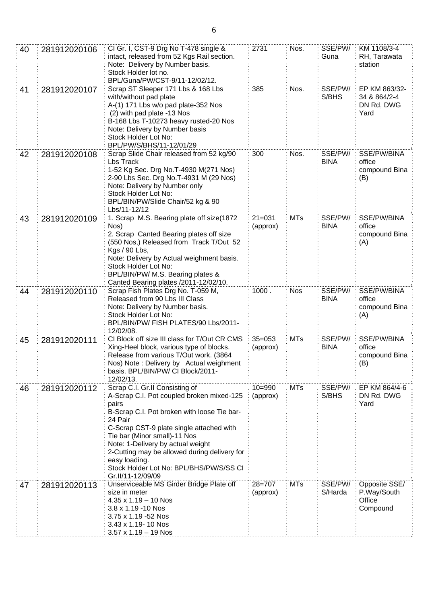| 40 | 281912020106 | CI Gr. I, CST-9 Drg No T-478 single &<br>intact, released from 52 Kgs Rail section.<br>Note: Delivery by Number basis.<br>Stock Holder lot no.<br>BPL/Guna/PW/CST-9/11-12/02/12.                                                                                                                                                                                                                 | 2731                   | Nos.       | SSE/PW/<br>Guna        | KM 1108/3-4<br>RH, Tarawata<br>station              |
|----|--------------|--------------------------------------------------------------------------------------------------------------------------------------------------------------------------------------------------------------------------------------------------------------------------------------------------------------------------------------------------------------------------------------------------|------------------------|------------|------------------------|-----------------------------------------------------|
| 41 | 281912020107 | Scrap ST Sleeper 171 Lbs & 168 Lbs<br>with/without pad plate<br>A-(1) 171 Lbs w/o pad plate-352 Nos<br>(2) with pad plate -13 Nos<br>B-168 Lbs T-10273 heavy rusted-20 Nos<br>Note: Delivery by Number basis<br>Stock Holder Lot No:<br>BPL/PW/S/BHS/11-12/01/29                                                                                                                                 | 385                    | Nos.       | SSE/PW/<br>S/BHS       | EP KM 863/32-<br>34 & 864/2-4<br>DN Rd, DWG<br>Yard |
| 42 | 281912020108 | Scrap Slide Chair released from 52 kg/90<br>Lbs Track<br>1-52 Kg Sec. Drg No.T-4930 M(271 Nos)<br>2-90 Lbs Sec. Drg No.T-4931 M (29 Nos)<br>Note: Delivery by Number only<br>Stock Holder Lot No:<br>BPL/BIN/PW/Slide Chair/52 kg & 90<br>Lbs/11-12/12                                                                                                                                           | 300                    | Nos.       | SSE/PW/<br><b>BINA</b> | SSE/PW/BINA<br>office<br>compound Bina<br>(B)       |
| 43 | 281912020109 | 1. Scrap M.S. Bearing plate off size(1872<br>Nos)<br>2. Scrap Canted Bearing plates off size<br>(550 Nos,) Released from Track T/Out 52<br>Kgs / 90 Lbs,<br>Note: Delivery by Actual weighment basis.<br>Stock Holder Lot No:<br>BPL/BIN/PW/ M.S. Bearing plates &<br>Canted Bearing plates /2011-12/02/10.                                                                                      | $21 = 031$<br>(approx) | <b>MTs</b> | SSE/PW/<br><b>BINA</b> | SSE/PW/BINA<br>office<br>compound Bina<br>(A)       |
| 44 | 281912020110 | Scrap Fish Plates Drg No. T-059 M,<br>Released from 90 Lbs III Class<br>Note: Delivery by Number basis.<br>Stock Holder Lot No:<br>BPL/BIN/PW/ FISH PLATES/90 Lbs/2011-<br>12/02/08.                                                                                                                                                                                                             | 1000.                  | <b>Nos</b> | SSE/PW/<br><b>BINA</b> | SSE/PW/BINA<br>office<br>compound Bina<br>(A)       |
| 45 | 281912020111 | CI Block off size III class for T/Out CR CMS<br>Xing-Heel block, various type of blocks.<br>Release from various T/Out work. (3864<br>Nos) Note: Delivery by Actual weighment<br>basis. BPL/BIN/PW/ CI Block/2011-<br>12/02/13.                                                                                                                                                                  | $35 = 053$<br>(approx) | <b>MTs</b> | SSE/PW/<br><b>BINA</b> | SSE/PW/BINA<br>office<br>compound Bina<br>(B)       |
| 46 | 281912020112 | Scrap C.I. Gr.II Consisting of<br>A-Scrap C.I. Pot coupled broken mixed-125<br>pairs<br>B-Scrap C.I. Pot broken with loose Tie bar-<br>24 Pair<br>C-Scrap CST-9 plate single attached with<br>Tie bar (Minor small)-11 Nos<br>Note: 1-Delivery by actual weight<br>2-Cutting may be allowed during delivery for<br>easy loading.<br>Stock Holder Lot No: BPL/BHS/PW/S/SS CI<br>Gr.II/11-12/09/09 | $10 = 990$<br>(approx) | <b>MTs</b> | SSE/PW/<br>S/BHS       | EP KM 864/4-6<br>DN Rd. DWG<br>Yard                 |
| 47 | 281912020113 | Unserviceable MS Girder Bridge Plate off<br>size in meter<br>$4.35 \times 1.19 - 10$ Nos<br>3.8 x 1.19 -10 Nos<br>3.75 x 1.19 -52 Nos<br>3.43 x 1.19-10 Nos<br>$3.57 \times 1.19 - 19$ Nos                                                                                                                                                                                                       | $28 = 707$<br>(approx) | <b>MTs</b> | SSE/PW/<br>S/Harda     | Opposite SSE/<br>P.Way/South<br>Office<br>Compound  |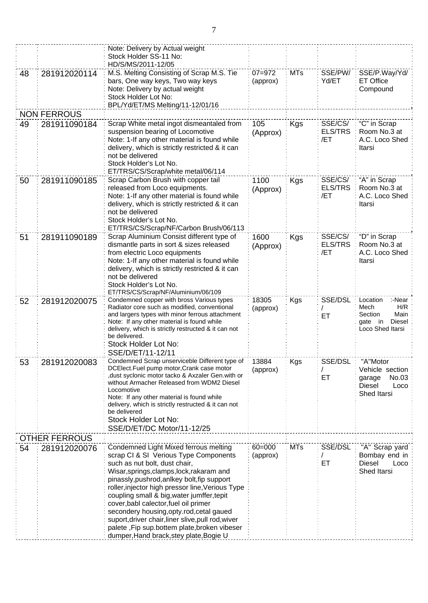|    |                      | Note: Delivery by Actual weight<br>Stock Holder SS-11 No:<br>HD/S/MS/2011-12/05                                                                                                                                                                                                                                                                                                                                                                                                                                                                     |                        |            |                                  |                                                                                                  |
|----|----------------------|-----------------------------------------------------------------------------------------------------------------------------------------------------------------------------------------------------------------------------------------------------------------------------------------------------------------------------------------------------------------------------------------------------------------------------------------------------------------------------------------------------------------------------------------------------|------------------------|------------|----------------------------------|--------------------------------------------------------------------------------------------------|
| 48 | 281912020114         | M.S. Melting Consisting of Scrap M.S. Tie<br>bars, One way keys, Two way keys<br>Note: Delivery by actual weight<br>Stock Holder Lot No:<br>BPL/Yd/ET/MS Melting/11-12/01/16                                                                                                                                                                                                                                                                                                                                                                        | $07 = 972$<br>(approx) | <b>MTs</b> | SSE/PW/<br>Yd/ET                 | SSE/P.Way/Yd/<br><b>ET Office</b><br>Compound                                                    |
|    | <b>NON FERROUS</b>   |                                                                                                                                                                                                                                                                                                                                                                                                                                                                                                                                                     |                        |            |                                  |                                                                                                  |
| 49 | 281911090184         | Scrap White metal ingot dismeantaled from<br>suspension bearing of Locomotive<br>Note: 1-If any other material is found while<br>delivery, which is strictly restricted & it can<br>not be delivered<br>Stock Holder's Lot No.<br>ET/TRS/CS/Scrap/white metal/06/114                                                                                                                                                                                                                                                                                | 105<br>(Approx)        | <b>Kgs</b> | SSE/CS/<br><b>ELS/TRS</b><br>/ET | "C" in Scrap<br>Room No.3 at<br>A.C. Loco Shed<br>Itarsi                                         |
| 50 | 281911090185         | Scrap Carbon Brush with copper tail<br>released from Loco equipments.<br>Note: 1-If any other material is found while<br>delivery, which is strictly restricted & it can<br>not be delivered<br>Stock Holder's Lot No.<br>ET/TRS/CS/Scrap/NF/Carbon Brush/06/113                                                                                                                                                                                                                                                                                    | 1100<br>(Approx)       | Kgs        | SSE/CS/<br><b>ELS/TRS</b><br>/ET | "A" in Scrap<br>Room No.3 at<br>A.C. Loco Shed<br>Itarsi                                         |
| 51 | 281911090189         | Scrap Aluminium Consist different type of<br>dismantle parts in sort & sizes released<br>from electric Loco equipments<br>Note: 1-If any other material is found while<br>delivery, which is strictly restricted & it can<br>not be delivered<br>Stock Holder's Lot No.<br>ET/TRS/CS/Scrap/NF/Aluminium/06/109                                                                                                                                                                                                                                      | 1600<br>(Approx)       | <b>Kgs</b> | SSE/CS/<br><b>ELS/TRS</b><br>/ET | "D" in Scrap<br>Room No.3 at<br>A.C. Loco Shed<br>Itarsi                                         |
| 52 | 281912020075         | Condemned copper with bross Various types<br>Radiator core such as modified, conventional<br>and largers types with minor ferrous attachment<br>Note: If any other material is found while<br>delivery, which is strictly restructed & it can not<br>be delivered.<br>Stock Holder Lot No:<br>SSE/D/ET/11-12/11                                                                                                                                                                                                                                     | 18305<br>(approx)      | <b>Kgs</b> | SSE/DSL<br>ET                    | Location<br>:-Near<br>H/R<br>Mech<br>Main<br>Section<br>Diesel<br>in<br>gate<br>Loco Shed Itarsi |
| 53 | 281912020083         | Condemned Scrap unserviceble Different type of<br>DCElect.Fuel pump motor, Crank case motor<br>dust syclonic motor tacko & Axzaler Gen.with or,<br>without Armacher Released from WDM2 Diesel<br>Locomotive<br>Note: If any other material is found while<br>delivery, which is strictly restructed & it can not<br>be delivered<br>Stock Holder Lot No:<br>SSE/D/ET/DC Motor/11-12/25                                                                                                                                                              | 13884<br>(approx)      | Kgs        | <b>SSE/DSL</b><br>ET             | "A"Motor<br>Vehicle section<br>No.03<br>garage<br>Diesel<br>Loco<br>Shed Itarsi                  |
|    | <b>OTHER FERROUS</b> |                                                                                                                                                                                                                                                                                                                                                                                                                                                                                                                                                     |                        |            |                                  |                                                                                                  |
| 54 | 281912020076         | Condemned Light Mixed ferrous melting<br>scrap CI & SI Verious Type Components<br>such as nut bolt, dust chair,<br>Wisar, springs, clamps, lock, rakaram and<br>pinassly, pushrod, anlkey bolt, fip support<br>roller, injector high pressor line, Verious Type<br>coupling small & big, water jumffer, tepit<br>cover, babl calector, fuel oil primer<br>secondery housing, opty.rod, cetal gaued<br>suport, driver chair, liner slive, pull rod, wiver<br>palete, Fip sup.bottem plate, broken vibeser<br>dumper, Hand brack, stey plate, Bogie U | $60 = 000$<br>(approx) | <b>MTs</b> | SSE/DSL<br>ET                    | "A" Scrap yard<br>Bombay end in<br><b>Diesel</b><br>Loco<br>Shed Itarsi                          |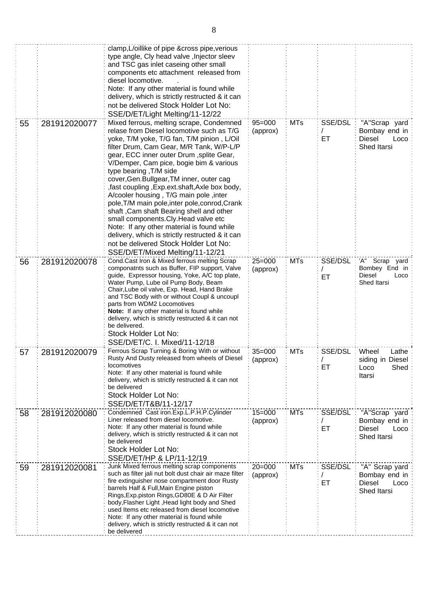|    |              | clamp, L/oillike of pipe & cross pipe, verious<br>type angle, Cly head valve, Injector sleev<br>and TSC gas inlet caseing other small<br>components etc attachment released from<br>diesel locomotive.<br>Note: If any other material is found while<br>delivery, which is strictly restructed & it can<br>not be delivered Stock Holder Lot No:<br>SSE/D/ET/Light Melting/11-12/22                                                                                                                                                                                                                                                                                                                                                                           |                        |            |                |                                                                         |
|----|--------------|---------------------------------------------------------------------------------------------------------------------------------------------------------------------------------------------------------------------------------------------------------------------------------------------------------------------------------------------------------------------------------------------------------------------------------------------------------------------------------------------------------------------------------------------------------------------------------------------------------------------------------------------------------------------------------------------------------------------------------------------------------------|------------------------|------------|----------------|-------------------------------------------------------------------------|
| 55 | 281912020077 | Mixed ferrous, melting scrape, Condemned<br>relase from Diesel locomotive such as T/G<br>yoke, T/M yoke, T/G fan, T/M pinion, L/Oil<br>filter Drum, Cam Gear, M/R Tank, W/P-L/P<br>gear, ECC inner outer Drum, splite Gear,<br>V/Demper, Cam pice, bogie bim & various<br>type bearing, T/M side<br>cover, Gen. Bullgear, TM inner, outer cag<br>, fast coupling, Exp.ext.shaft, Axle box body,<br>A/cooler housing, T/G main pole, inter<br>pole, T/M main pole, inter pole, conrod, Crank<br>shaft, Cam shaft Bearing shell and other<br>small components. Cly. Head valve etc<br>Note: If any other material is found while<br>delivery, which is strictly restructed & it can<br>not be delivered Stock Holder Lot No:<br>SSE/D/ET/Mixed Melting/11-12/21 | $95 = 000$<br>(approx) | <b>MTs</b> | SSE/DSL<br>ET. | "A"Scrap yard<br>Bombay end in<br><b>Diesel</b><br>Loco<br>Shed Itarsi  |
| 56 | 281912020078 | Cond.Cast Iron & Mixed ferrous melting Scrap<br>componatnts such as Buffer, FIP support, Valve<br>guide, Expressor housing, Yoke, A/C top plate,<br>Water Pump, Lube oil Pump Body, Beam<br>Chair, Lube oil valve, Exp. Head, Hand Brake<br>and TSC Body with or without Coupl & uncoupl<br>parts from WDM2 Locomotives<br><b>Note:</b> If any other material is found while<br>delivery, which is strictly restructed & it can not<br>be delivered.<br>Stock Holder Lot No:<br>SSE/D/ET/C. I. Mixed/11-12/18                                                                                                                                                                                                                                                 | $25 = 000$<br>(approx) | <b>MTs</b> | SSE/DSL<br>ET. | 'A" Scrap yard<br>Bombey End in<br>Diesel<br>Loco<br>Shed Itarsi        |
| 57 | 281912020079 | Ferrous Scrap Turning & Boring With or without<br>Rusty And Dusty released from wheels of Diesel<br>locomotives<br>Note: If any other material is found while<br>delivery, which is strictly restructed & it can not<br>be delivered<br>Stock Holder Lot No:<br>SSE/D/ET/T&B/11-12/17                                                                                                                                                                                                                                                                                                                                                                                                                                                                         | $35 = 000$<br>(approx) | MTs        | SSE/DSL<br>ET  | Wheel<br>Lathe<br>siding in Diesel<br>Shed<br>Loco<br>Itarsi            |
| 58 | 281912020080 | Condemned Cast iron.Exp.L.P.H.P.Cylinder<br>Liner released from diesel locomotive.<br>Note: If any other material is found while<br>delivery, which is strictly restructed & it can not<br>be delivered<br>Stock Holder Lot No:<br>SSE/D/ET/HP & LP/11-12/19                                                                                                                                                                                                                                                                                                                                                                                                                                                                                                  | $15 = 000$<br>(approx) | <b>MTs</b> | SSE/DSL<br>ET  | "A"Scrap yard<br>Bombay end in<br>Diesel<br>Loco<br>Shed Itarsi         |
| 59 | 281912020081 | Junk Mixed ferrous melting scrap components<br>such as filter jali nut bolt dust chair air maze filter<br>fire extinguisher nose compartment door Rusty<br>barrels Half & Full, Main Engine piston<br>Rings, Exp.piston Rings, GD80E & D Air Filter<br>body, Flasher Light, Head light body and Shed<br>used Items etc released from diesel locomotive<br>Note: If any other material is found while<br>delivery, which is strictly restructed & it can not<br>be delivered                                                                                                                                                                                                                                                                                   | $20 = 000$<br>(approx) | <b>MTs</b> | SSE/DSL<br>ET  | "A" Scrap yard<br>Bombay end in<br><b>Diesel</b><br>Loco<br>Shed Itarsi |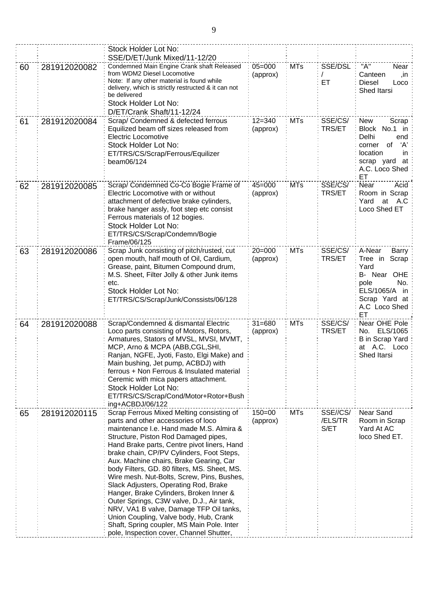|    |              | Stock Holder Lot No:<br>SSE/D/ET/Junk Mixed/11-12/20                                                                                                                                                                                                                                                                                                                                                                                                                                                                                                                                                                                                                                                                      |                        |            |                             |                                                                                                                                                  |
|----|--------------|---------------------------------------------------------------------------------------------------------------------------------------------------------------------------------------------------------------------------------------------------------------------------------------------------------------------------------------------------------------------------------------------------------------------------------------------------------------------------------------------------------------------------------------------------------------------------------------------------------------------------------------------------------------------------------------------------------------------------|------------------------|------------|-----------------------------|--------------------------------------------------------------------------------------------------------------------------------------------------|
| 60 | 281912020082 | Condemned Main Engine Crank shaft Released<br>from WDM2 Diesel Locomotive<br>Note: If any other material is found while<br>delivery, which is strictly restructed & it can not<br>be delivered<br>Stock Holder Lot No:<br>D/ET/Crank Shaft/11-12/24                                                                                                                                                                                                                                                                                                                                                                                                                                                                       | $05 = 000$<br>(approx) | <b>MTs</b> | SSE/DSL<br>ET               | "A"<br>Near:<br>Canteen<br>in,<br><b>Diesel</b><br>Loco<br>Shed Itarsi                                                                           |
| 61 | 281912020084 | Scrap/ Condemned & defected ferrous<br>Equilized beam off sizes released from<br><b>Electric Locomotive</b><br>Stock Holder Lot No:<br>ET/TRS/CS/Scrap/Ferrous/Equilizer<br>beam06/124                                                                                                                                                                                                                                                                                                                                                                                                                                                                                                                                    | $12 = 340$<br>(approx) | <b>MTs</b> | SSE/CS/<br><b>TRS/ET</b>    | <b>New</b><br>Scrap<br><b>Block</b><br>No.1 in<br>Delhi<br>end<br>ʻA'<br>of<br>corner<br>location<br>in<br>scrap yard at<br>A.C. Loco Shed<br>ET |
| 62 | 281912020085 | Scrap/ Condemned Co-Co Bogie Frame of<br>Electric Locomotive with or without<br>attachment of defective brake cylinders,<br>brake hanger assly, foot step etc consist<br>Ferrous materials of 12 bogies.<br>Stock Holder Lot No:<br>ET/TRS/CS/Scrap/Condemn/Bogie<br>Frame/06/125                                                                                                                                                                                                                                                                                                                                                                                                                                         | $45 = 000$<br>(approx) | <b>MTs</b> | SSE/CS/<br>TRS/ET           | Near<br>Acid<br>Room in Scrap<br>Yard<br>A.C<br>at<br>Loco Shed ET                                                                               |
| 63 | 281912020086 | Scrap Junk consisting of pitch/rusted, cut<br>open mouth, half mouth of Oil, Cardium,<br>Grease, paint, Bitumen Compound drum,<br>M.S. Sheet, Filter Jolly & other Junk items<br>etc.<br>Stock Holder Lot No:<br>ET/TRS/CS/Scrap/Junk/Conssists/06/128                                                                                                                                                                                                                                                                                                                                                                                                                                                                    | $20 = 000$<br>(approx) | <b>MTs</b> | SSE/CS/<br><b>TRS/ET</b>    | A-Near<br>Barry<br>Tree in<br>Scrap<br>Yard<br>B- Near OHE<br>No.<br>pole<br>ELS/1065/A in<br>Scrap Yard at<br>A.C Loco Shed<br>ET               |
| 64 | 281912020088 | Scrap/Condemned & dismantal Electric<br>Loco parts consisting of Motors, Rotors,<br>Armatures, Stators of MVSL, MVSI, MVMT,<br>MCP, Arno & MCPA (ABB,CGL,SHI,<br>Ranjan, NGFE, Jyoti, Fasto, Elgi Make) and<br>Main bushing, Jet pump, ACBDJ) with<br>ferrous + Non Ferrous & Insulated material<br>Ceremic with mica papers attachment.<br>Stock Holder Lot No:<br>ET/TRS/CS/Scrap/Cond/Motor+Rotor+Bush<br>ing+ACBDJ/06/122                                                                                                                                                                                                                                                                                             | $31 = 680$<br>(approx) | <b>MTs</b> | SSE/CS/<br><b>TRS/ET</b>    | Near OHE Pole<br>No. ELS/1065<br><b>B</b> in Scrap Yard<br>at A.C. Loco:<br>Shed Itarsi                                                          |
| 65 | 281912020115 | Scrap Ferrous Mixed Melting consisting of<br>parts and other accessories of loco<br>maintenance I.e. Hand made M.S. Almira &<br>Structure, Piston Rod Damaged pipes,<br>Hand Brake parts, Centre pivot liners, Hand<br>brake chain, CP/PV Cylinders, Foot Steps,<br>Aux. Machine chairs, Brake Gearing, Car<br>body Filters, GD. 80 filters, MS. Sheet, MS.<br>Wire mesh. Nut-Bolts, Screw, Pins, Bushes,<br>Slack Adjusters, Operating Rod, Brake<br>Hanger, Brake Cylinders, Broken Inner &<br>Outer Springs, C3W valve, D.J., Air tank,<br>NRV, VA1 B valve, Damage TFP Oil tanks,<br>Union Coupling, Valve body, Hub, Crank<br>Shaft, Spring coupler, MS Main Pole. Inter<br>pole, Inspection cover, Channel Shutter, | $150 = 00$<br>(approx) | <b>MTs</b> | SSE//CS/<br>/ELS/TR<br>S/ET | Near Sand<br>Room in Scrap<br>Yard At AC<br>loco Shed ET.                                                                                        |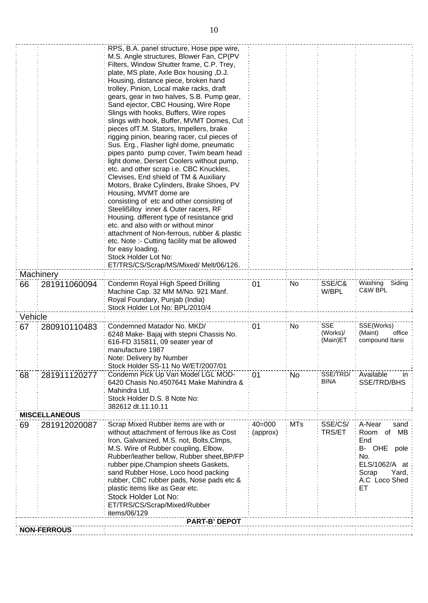|         |                      | RPS, B.A. panel structure, Hose pipe wire,<br>M.S. Angle structures, Blower Fan, CP(PV   |            |            |                          |                                      |
|---------|----------------------|------------------------------------------------------------------------------------------|------------|------------|--------------------------|--------------------------------------|
|         |                      | Filters, Window Shutter frame, C.P. Trey,                                                |            |            |                          |                                      |
|         |                      | plate, MS plate, Axle Box housing, D.J.                                                  |            |            |                          |                                      |
|         |                      | Housing, distance piece, broken hand<br>trolley, Pinion, Local make racks, draft         |            |            |                          |                                      |
|         |                      | gears, gear in two halves, S.B. Pump gear,                                               |            |            |                          |                                      |
|         |                      | Sand ejector, CBC Housing, Wire Rope                                                     |            |            |                          |                                      |
|         |                      | Slings with hooks, Buffers, Wire ropes                                                   |            |            |                          |                                      |
|         |                      | slings with hook, Buffer, MVMT Domes, Cut                                                |            |            |                          |                                      |
|         |                      | pieces of T.M. Stators, Impellers, brake<br>rigging pinion, bearing racer, cul pieces of |            |            |                          |                                      |
|         |                      | Sus. Erg., Flasher lighl dome, pneumatic                                                 |            |            |                          |                                      |
|         |                      | pipes panto pump cover, Twim beam head                                                   |            |            |                          |                                      |
|         |                      | light dome, Dersert Coolers without pump,                                                |            |            |                          |                                      |
|         |                      | etc. and other scrap i.e. CBC Knuckles,<br>Clevises, End shield of TM & Auxiliary        |            |            |                          |                                      |
|         |                      | Motors, Brake Cylinders, Brake Shoes, PV                                                 |            |            |                          |                                      |
|         |                      | Housing, MVMT dome are                                                                   |            |            |                          |                                      |
|         |                      | consisting of etc and other consisting of                                                |            |            |                          |                                      |
|         |                      | Steelißilloy inner & Outer racers, RF<br>Housing. different type of resistance grid      |            |            |                          |                                      |
|         |                      | etc. and also with or without minor                                                      |            |            |                          |                                      |
|         |                      | attachment of Non-ferrous, rubber & plastic                                              |            |            |                          |                                      |
|         |                      | etc. Note :- Cutting facility mat be allowed                                             |            |            |                          |                                      |
|         |                      | for easy loading.<br>Stock Holder Lot No:                                                |            |            |                          |                                      |
|         |                      | ET/TRS/CS/Scrap/MS/Mixed/ Melt/06/126.                                                   |            |            |                          |                                      |
|         | Machinery            |                                                                                          |            |            |                          |                                      |
| 66      | 281911060094         | Condemn Royal High Speed Drilling                                                        | 01         | No         | SSE/C&                   | Washing Siding                       |
|         |                      | Machine Cap. 32 MM M/No. 921 Manf.                                                       |            |            | W/BPL                    | C&W BPL                              |
|         |                      | Royal Foundary, Punjab (India)<br>Stock Holder Lot No: BPL/2010/4                        |            |            |                          |                                      |
| Vehicle |                      |                                                                                          |            |            |                          |                                      |
| 67      | 280910110483         | Condemned Matador No. MKD/                                                               | 01         | No         | <b>SSE</b>               | SSE(Works)                           |
|         |                      | 6248 Make- Bajaj with stepni Chassis No.                                                 |            |            | (Works)/<br>(Main)ET     | office<br>(Maint)<br>compound Itarsi |
|         |                      | 616-FD 315811, 09 seater year of<br>manufacture 1987                                     |            |            |                          |                                      |
|         |                      | Note: Delivery by Number                                                                 |            |            |                          |                                      |
|         |                      | Stock Holder SS-11 No W/ET/2007/01                                                       |            |            |                          |                                      |
| 68      | 281911120277         | Condemn Pick Up Van Model LGL MOD-                                                       | 01         | No         | SSE/TRD/                 | Available<br>in                      |
|         |                      | 6420 Chasis No.4507641 Make Mahindra &                                                   |            |            | <b>BINA</b>              | SSE/TRD/BHS                          |
|         |                      | Mahindra Ltd.<br>Stock Holder D.S. 8 Note No:                                            |            |            |                          |                                      |
|         |                      | 382612 dt.11.10.11                                                                       |            |            |                          |                                      |
|         | <b>MISCELLANEOUS</b> |                                                                                          |            |            |                          |                                      |
| 69      | 281912020087         | Scrap Mixed Rubber items are with or<br>without attachment of ferrous like as Cost       | $40 = 000$ | <b>MTs</b> | SSE/CS/<br><b>TRS/ET</b> | A-Near<br>sand                       |
|         |                      | Iron, Galvanized, M.S. not, Bolts, Clmps,                                                | (approx)   |            |                          | МB<br>Room<br>0f<br>End              |
|         |                      | M.S. Wire of Rubber coupling, Elbow,                                                     |            |            |                          | B- OHE<br>pole                       |
|         |                      | Rubber/leather bellow, Rubber sheet, BP/FP                                               |            |            |                          | No.                                  |
|         |                      | rubber pipe, Champion sheets Gaskets,                                                    |            |            |                          | ELS/1062/A at                        |
|         |                      | sand Rubber Hose, Loco hood packing<br>rubber, CBC rubber pads, Nose pads etc &          |            |            |                          | Yard,<br>Scrap<br>A.C Loco Shed      |
|         |                      | plastic items like as Gear etc.                                                          |            |            |                          | ET                                   |
|         |                      | Stock Holder Lot No:                                                                     |            |            |                          |                                      |
|         |                      | ET/TRS/CS/Scrap/Mixed/Rubber                                                             |            |            |                          |                                      |
|         |                      | items/06/129<br><b>PART-B' DEPOT</b>                                                     |            |            |                          |                                      |
|         | <b>NON-FERROUS</b>   |                                                                                          |            |            |                          |                                      |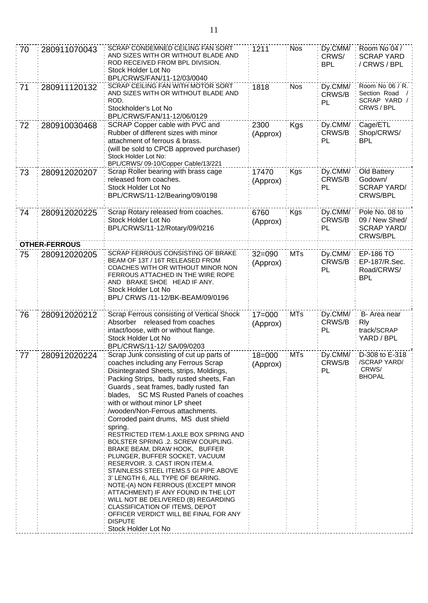| 70 | 280911070043         | <b>SCRAP CONDEMNED CEILING FAN SORT</b><br>AND SIZES WITH OR WITHOUT BLADE AND<br>ROD RECEIVED FROM BPL DIVISION.<br>Stock Holder Lot No<br>BPL/CRWS/FAN/11-12/03/0040                                                                                                                                                                                                                                                                                                                                                                                                                                                                                                                                                                                                                                                                                                                        | 1211                     | <b>Nos</b> | Dy.CMM/<br>CRWS/<br><b>BPL</b> | Room No 04 /<br><b>SCRAP YARD</b><br>/ CRWS / BPL                         |
|----|----------------------|-----------------------------------------------------------------------------------------------------------------------------------------------------------------------------------------------------------------------------------------------------------------------------------------------------------------------------------------------------------------------------------------------------------------------------------------------------------------------------------------------------------------------------------------------------------------------------------------------------------------------------------------------------------------------------------------------------------------------------------------------------------------------------------------------------------------------------------------------------------------------------------------------|--------------------------|------------|--------------------------------|---------------------------------------------------------------------------|
| 71 | 280911120132         | SCRAP CEILING FAN WITH MOTOR SORT<br>AND SIZES WITH OR WITHOUT BLADE AND<br>ROD.<br>Stockholder's Lot No<br>BPL/CRWS/FAN/11-12/06/0129                                                                                                                                                                                                                                                                                                                                                                                                                                                                                                                                                                                                                                                                                                                                                        | 1818                     | <b>Nos</b> | Dy.CMM/<br>CRWS/B<br>PL        | Room No 06 / R.<br>Section Road<br>SCRAP YARD /<br>CRWS / BPL             |
| 72 | 280910030468         | SCRAP Copper cable with PVC and<br>Rubber of different sizes with minor<br>attachment of ferrous & brass.<br>(will be sold to CPCB approved purchaser)<br>Stock Holder Lot No:<br>BPL/CRWS/09-10/Copper Cable/13/221                                                                                                                                                                                                                                                                                                                                                                                                                                                                                                                                                                                                                                                                          | 2300<br>(Approx)         | <b>Kgs</b> | Dy.CMM/<br>CRWS/B<br>PL        | Cage/ETL<br>Shop/CRWS/<br><b>BPL</b>                                      |
| 73 | 280912020207         | Scrap Roller bearing with brass cage<br>released from coaches.<br>Stock Holder Lot No<br>BPL/CRWS/11-12/Bearing/09/0198                                                                                                                                                                                                                                                                                                                                                                                                                                                                                                                                                                                                                                                                                                                                                                       | 17470<br>(Approx)        | Kgs        | Dy.CMM/<br>CRWS/B<br>PL        | Old Battery<br>Godown/<br><b>SCRAP YARD/</b><br><b>CRWS/BPL</b>           |
| 74 | 280912020225         | Scrap Rotary released from coaches.<br>Stock Holder Lot No<br>BPL/CRWS/11-12/Rotary/09/0216                                                                                                                                                                                                                                                                                                                                                                                                                                                                                                                                                                                                                                                                                                                                                                                                   | 6760<br>(Approx)         | <b>Kgs</b> | Dy.CMM/<br>CRWS/B<br>PL        | Pole No. 08 to<br>09 / New Shed/<br><b>SCRAP YARD/</b><br><b>CRWS/BPL</b> |
|    | <b>OTHER-FERROUS</b> |                                                                                                                                                                                                                                                                                                                                                                                                                                                                                                                                                                                                                                                                                                                                                                                                                                                                                               |                          |            |                                |                                                                           |
| 75 | 280912020205         | SCRAP FERROUS CONSISTING OF BRAKE<br>BEAM OF 13T / 16T RELEASED FROM<br>COACHES WITH OR WITHOUT MINOR NON<br>FERROUS ATTACHED IN THE WIRE ROPE<br>AND BRAKE SHOE HEAD IF ANY.<br>Stock Holder Lot No<br>BPL/ CRWS /11-12/BK-BEAM/09/0196                                                                                                                                                                                                                                                                                                                                                                                                                                                                                                                                                                                                                                                      | $32 = 090$<br>(Approx)   | <b>MTs</b> | Dy.CMM/<br>CRWS/B<br>PL        | <b>EP-186 TO</b><br>EP-187/R.Sec.<br>Road/CRWS/<br><b>BPL</b>             |
| 76 | 280912020212         | Scrap Ferrous consisting of Vertical Shock<br>Absorber released from coaches<br>intact/loose, with or without flange.<br>Stock Holder Lot No<br>BPL/CRWS/11-12/ SA/09/0203                                                                                                                                                                                                                                                                                                                                                                                                                                                                                                                                                                                                                                                                                                                    | $17 = 000$<br>(Approx)   | <b>MTs</b> | Dy.CMM/<br>CRWS/B<br>PL        | B- Area near<br><b>R</b> ly<br>track/SCRAP<br>YARD / BPL                  |
| 77 | 280912020224         | Scrap Junk consisting of cut up parts of<br>coaches including any Ferrous Scrap<br>Disintegrated Sheets, strips, Moldings,<br>Packing Strips, badly rusted sheets, Fan<br>Guards, seat frames, badly rusted fan<br>blades, SC MS Rusted Panels of coaches<br>with or without minor LP sheet<br>/wooden/Non-Ferrous attachments.<br>Corroded paint drums, MS dust shield<br>spring.<br>RESTRICTED ITEM-1.AXLE BOX SPRING AND<br>BOLSTER SPRING .2. SCREW COUPLING.<br>BRAKE BEAM, DRAW HOOK, BUFFER<br>PLUNGER, BUFFER SOCKET, VACUUM<br>RESERVOIR. 3. CAST IRON ITEM.4.<br>STAINLESS STEEL ITEMS.5 GI PIPE ABOVE<br>3' LENGTH 6, ALL TYPE OF BEARING.<br>NOTE-(A) NON FERROUS (EXCEPT MINOR<br>ATTACHMENT) IF ANY FOUND IN THE LOT<br>WILL NOT BE DELIVERED (B) REGARDING<br>CLASSIFICATION OF ITEMS, DEPOT<br>OFFICER VERDICT WILL BE FINAL FOR ANY<br><b>DISPUTE</b><br>Stock Holder Lot No | : $18 = 000$<br>(Approx) | $:$ MTs    | CRWS/B<br>PL                   | Dy.CMM/: D-308 to E-318<br>/SCRAP YARD/<br>CRWS/<br><b>BHOPAL</b>         |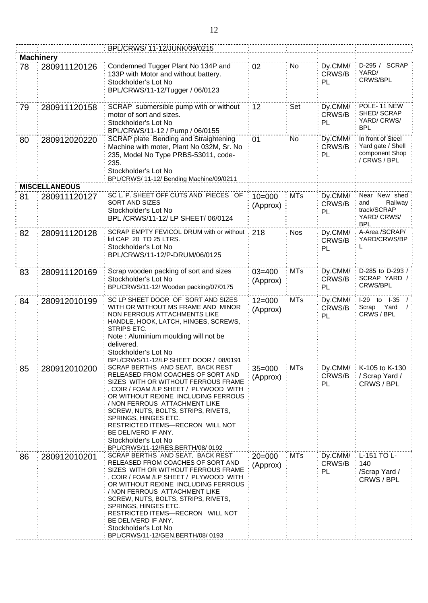|    |                      | BPL/CRWS/ 11-12/JUNK/09/0215                                                                                                                                                                                                                                                                                                                                                                                         |                        |            |                         |                                                                            |
|----|----------------------|----------------------------------------------------------------------------------------------------------------------------------------------------------------------------------------------------------------------------------------------------------------------------------------------------------------------------------------------------------------------------------------------------------------------|------------------------|------------|-------------------------|----------------------------------------------------------------------------|
|    | <b>Machinery</b>     |                                                                                                                                                                                                                                                                                                                                                                                                                      |                        |            |                         |                                                                            |
| 78 | 280911120126         | Condemned Tugger Plant No 134P and<br>133P with Motor and without battery.<br>Stockholder's Lot No<br>BPL/CRWS/11-12/Tugger / 06/0123                                                                                                                                                                                                                                                                                | 02                     | No         | Dy.CMM/<br>CRWS/B<br>PL | D-295 / SCRAP<br>YARD/<br>CRWS/BPL                                         |
| 79 | 280911120158         | SCRAP submersible pump with or without<br>motor of sort and sizes.<br>Stockholder's Lot No<br>BPL/CRWS/11-12 / Pump / 06/0155                                                                                                                                                                                                                                                                                        | 12                     | Set        | Dy.CMM/<br>CRWS/B<br>PL | POLE-11 NEW<br>SHED/SCRAP<br>YARD/CRWS/<br><b>BPL</b>                      |
| 80 | 280912020220         | SCRAP plate Bending and Straightening<br>Machine with moter, Plant No 032M, Sr. No<br>235, Model No Type PRBS-53011, code-<br>235.<br>Stockholder's Lot No<br>BPL/CRWS/ 11-12/ Bending Machine/09/0211                                                                                                                                                                                                               | 01                     | No         | Dy.CMM/<br>CRWS/B<br>PL | In front of Steel<br>Yard gate / Shell<br>component Shop<br>/ CRWS / BPL   |
|    | <b>MISCELLANEOUS</b> |                                                                                                                                                                                                                                                                                                                                                                                                                      |                        |            |                         |                                                                            |
| 81 | 280911120127         | SC L. P. SHEET OFF CUTS AND PIECES OF<br>SORT AND SIZES<br>Stockholder's Lot No<br>BPL /CRWS/11-12/ LP SHEET/ 06/0124                                                                                                                                                                                                                                                                                                | $10 = 000$<br>(Approx) | <b>MTs</b> | Dy.CMM/<br>CRWS/B<br>PL | Near New shed<br>Railway<br>and<br>track/SCRAP<br>YARD/CRWS/<br><b>BPL</b> |
| 82 | 280911120128         | SCRAP EMPTY FEVICOL DRUM with or without<br>lid CAP 20 TO 25 LTRS.<br>Stockholder's Lot No<br>BPL/CRWS/11-12/P-DRUM/06/0125                                                                                                                                                                                                                                                                                          | 218                    | <b>Nos</b> | Dy.CMM/<br>CRWS/B<br>PL | A-Area /SCRAP/<br>YARD/CRWS/BP                                             |
| 83 | 280911120169         | Scrap wooden packing of sort and sizes<br>Stockholder's Lot No<br>BPL/CRWS/11-12/ Wooden packing/07/0175                                                                                                                                                                                                                                                                                                             | $03 = 400$<br>(Approx) | <b>MTs</b> | Dy.CMM/<br>CRWS/B<br>PL | D-285 to D-293 /<br>SCRAP YARD /<br>CRWS/BPL                               |
| 84 | 280912010199         | SC LP SHEET DOOR OF SORT AND SIZES<br>WITH OR WITHOUT MS FRAME AND MINOR<br>NON FERROUS ATTACHMENTS LIKE<br>HANDLE, HOOK, LATCH, HINGES, SCREWS,<br>STRIPS ETC.<br>Note: Aluminium moulding will not be<br>delivered.<br>Stockholder's Lot No<br>BPL/CRWS/11-12/LP SHEET DOOR / 08/0191                                                                                                                              | $12 = 000$<br>(Approx) | <b>MTs</b> | Dy.CMM/<br>CRWS/B<br>PL | I-29 to I-35<br>Yard<br>Scrap<br>CRWS / BPL                                |
| 85 | 280912010200         | SCRAP BERTHS AND SEAT, BACK REST<br>RELEASED FROM COACHES OF SORT AND<br>SIZES WITH OR WITHOUT FERROUS FRAME<br>, COIR / FOAM /LP SHEET / PLYWOOD WITH<br>OR WITHOUT REXINE INCLUDING FERROUS<br>/ NON FERROUS ATTACHMENT LIKE<br>SCREW, NUTS, BOLTS, STRIPS, RIVETS,<br>SPRINGS, HINGES ETC.<br>RESTRICTED ITEMS-RECRON WILL NOT<br>BE DELIVERD IF ANY.<br>Stockholder's Lot No<br>BPL/CRWS/11-12/RES.BERTH/08/0192 | $35 = 000$<br>(Approx) | <b>MTs</b> | Dy.CMM/<br>CRWS/B<br>PL | K-105 to K-130<br>/ Scrap Yard /<br>CRWS / BPL                             |
| 86 | 280912010201         | SCRAP BERTHS AND SEAT, BACK REST<br>RELEASED FROM COACHES OF SORT AND<br>SIZES WITH OR WITHOUT FERROUS FRAME<br>, COIR / FOAM /LP SHEET / PLYWOOD WITH<br>OR WITHOUT REXINE INCLUDING FERROUS<br>/ NON FERROUS ATTACHMENT LIKE<br>SCREW, NUTS, BOLTS, STRIPS, RIVETS,<br>SPRINGS, HINGES ETC.<br>RESTRICTED ITEMS-RECRON WILL NOT<br>BE DELIVERD IF ANY.<br>Stockholder's Lot No<br>BPL/CRWS/11-12/GEN.BERTH/08/0193 | $20 = 000$<br>(Approx) | <b>MTs</b> | Dy.CMM/<br>CRWS/B<br>PL | L-151 TO L-<br>140<br>/Scrap Yard /<br>CRWS / BPL                          |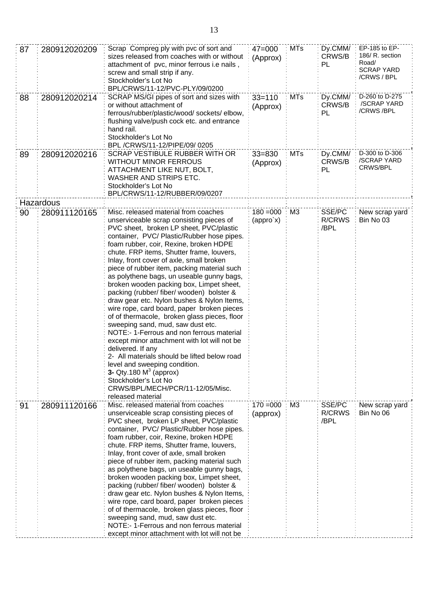| 87 | 280912020209 | Scrap Compreg ply with pvc of sort and<br>$47 = 000$<br>sizes released from coaches with or without<br>(Approx)<br>attachment of pvc, minor ferrous i.e nails,<br>screw and small strip if any.<br>Stockholder's Lot No<br>BPL/CRWS/11-12/PVC-PLY/09/0200                                                                                                                                                                                                                                                                                                                                                                                                                                                                                                                                                                                                                                                                                                                                         |                          | <b>MTs</b>     | Dy.CMM/<br>CRWS/B<br>PL         | EP-185 to EP-<br>186/ R. section<br>Road/<br><b>SCRAP YARD</b><br>/CRWS / BPL |
|----|--------------|---------------------------------------------------------------------------------------------------------------------------------------------------------------------------------------------------------------------------------------------------------------------------------------------------------------------------------------------------------------------------------------------------------------------------------------------------------------------------------------------------------------------------------------------------------------------------------------------------------------------------------------------------------------------------------------------------------------------------------------------------------------------------------------------------------------------------------------------------------------------------------------------------------------------------------------------------------------------------------------------------|--------------------------|----------------|---------------------------------|-------------------------------------------------------------------------------|
| 88 | 280912020214 | SCRAP MS/GI pipes of sort and sizes with<br>or without attachment of<br>ferrous/rubber/plastic/wood/ sockets/ elbow,<br>flushing valve/push cock etc. and entrance<br>hand rail.<br>Stockholder's Lot No<br>BPL /CRWS/11-12/PIPE/09/0205                                                                                                                                                                                                                                                                                                                                                                                                                                                                                                                                                                                                                                                                                                                                                          | $33 = 110$<br>(Approx)   | <b>MTs</b>     | Dy.CMM/<br>CRWS/B<br>PL         | D-260 to D-275<br>/SCRAP YARD<br>/CRWS/BPL                                    |
| 89 | 280912020216 | SCRAP VESTIBULE RUBBER WITH OR<br><b>WITHOUT MINOR FERROUS</b><br>ATTACHMENT LIKE NUT, BOLT,<br>WASHER AND STRIPS ETC.<br>Stockholder's Lot No<br>BPL/CRWS/11-12/RUBBER/09/0207                                                                                                                                                                                                                                                                                                                                                                                                                                                                                                                                                                                                                                                                                                                                                                                                                   | $33 = 830$<br>(Approx)   | <b>MTs</b>     | Dy.CMM/<br>CRWS/B<br>PL         | D-300 to D-306<br>/SCRAP YARD<br>CRWS/BPL                                     |
|    | Hazardous    |                                                                                                                                                                                                                                                                                                                                                                                                                                                                                                                                                                                                                                                                                                                                                                                                                                                                                                                                                                                                   |                          |                |                                 |                                                                               |
| 90 | 280911120165 | Misc. released material from coaches<br>unserviceable scrap consisting pieces of<br>PVC sheet, broken LP sheet, PVC/plastic<br>container, PVC/ Plastic/Rubber hose pipes.<br>foam rubber, coir, Rexine, broken HDPE<br>chute. FRP items, Shutter frame, louvers,<br>Inlay, front cover of axle, small broken<br>piece of rubber item, packing material such<br>as polythene bags, un useable gunny bags,<br>broken wooden packing box, Limpet sheet,<br>packing (rubber/ fiber/ wooden) bolster &<br>draw gear etc. Nylon bushes & Nylon Items,<br>wire rope, card board, paper broken pieces<br>of of thermacole, broken glass pieces, floor<br>sweeping sand, mud, saw dust etc.<br>NOTE:-1-Ferrous and non ferrous material<br>except minor attachment with lot will not be<br>delivered. If any<br>2- All materials should be lifted below road<br>level and sweeping condition.<br>3- Qty.180 $M3$ (approx)<br>Stockholder's Lot No<br>CRWS/BPL/MECH/PCR/11-12/05/Misc.<br>released material | $180 = 000$<br>(appro`x) | M <sub>3</sub> | SSE/PC<br><b>R/CRWS</b><br>/BPL | New scrap yard<br>Bin No 03                                                   |
| 91 | 280911120166 | Misc. released material from coaches<br>unserviceable scrap consisting pieces of<br>PVC sheet, broken LP sheet, PVC/plastic<br>container, PVC/ Plastic/Rubber hose pipes.<br>foam rubber, coir, Rexine, broken HDPE<br>chute. FRP items, Shutter frame, louvers,<br>Inlay, front cover of axle, small broken<br>piece of rubber item, packing material such<br>as polythene bags, un useable gunny bags,<br>broken wooden packing box, Limpet sheet,<br>packing (rubber/ fiber/ wooden) bolster &<br>draw gear etc. Nylon bushes & Nylon Items,<br>wire rope, card board, paper broken pieces<br>of of thermacole, broken glass pieces, floor<br>sweeping sand, mud, saw dust etc.<br>NOTE:- 1-Ferrous and non ferrous material<br>except minor attachment with lot will not be                                                                                                                                                                                                                   | $170 = 000$<br>(approx)  | M <sub>3</sub> | SSE/PC<br>R/CRWS<br>/BPL        | New scrap yard<br>Bin No 06                                                   |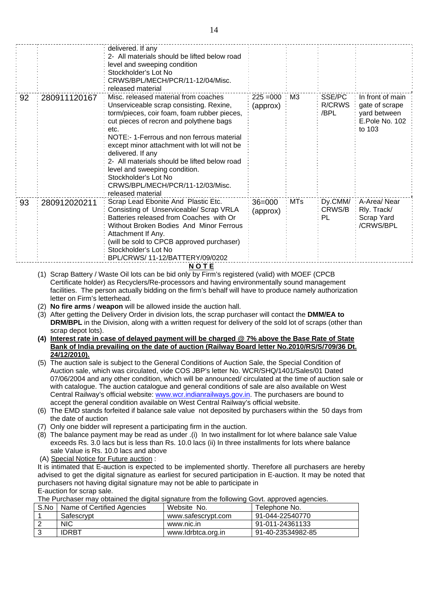|    |              | 2- All materials should be lifted below road<br>level and sweeping condition<br>Stockholder's Lot No<br>CRWS/BPL/MECH/PCR/11-12/04/Misc.<br>released material                                                                                                                                                                                                                                                                                                        |                         |            |                                 |                                                                                |
|----|--------------|----------------------------------------------------------------------------------------------------------------------------------------------------------------------------------------------------------------------------------------------------------------------------------------------------------------------------------------------------------------------------------------------------------------------------------------------------------------------|-------------------------|------------|---------------------------------|--------------------------------------------------------------------------------|
| 92 | 280911120167 | Misc. released material from coaches<br>Unserviceable scrap consisting. Rexine,<br>torm/pieces, coir foam, foam rubber pieces,<br>cut pieces of recron and polythene bags<br>etc.<br>NOTE:-1-Ferrous and non ferrous material<br>except minor attachment with lot will not be<br>delivered. If any<br>2- All materials should be lifted below road<br>level and sweeping condition.<br>Stockholder's Lot No<br>CRWS/BPL/MECH/PCR/11-12/03/Misc.<br>released material | $225 = 000$<br>(approx) | ΜЗ         | SSE/PC<br><b>R/CRWS</b><br>/BPL | In front of main<br>gate of scrape<br>yard between<br>E.Pole No. 102<br>to 103 |
| 93 | 280912020211 | Scrap Lead Ebonite And Plastic Etc.<br>Consisting of Unserviceable/ Scrap VRLA<br>Batteries released from Coaches with Or<br>Without Broken Bodies And Minor Ferrous<br>Attachment If Any.<br>(will be sold to CPCB approved purchaser)<br>Stockholder's Lot No<br>BPL/CRWS/ 11-12/BATTERY/09/0202                                                                                                                                                                   | $36 = 000$<br>(approx)  | <b>MTs</b> | Dy.CMM/<br>CRWS/B<br>PL         | A-Area/Near<br>Rly. Track/<br>Scrap Yard<br>/CRWS/BPL                          |

Certificate holder) as Recyclers/Re-processors and having environmentally sound management facilities. The person actually bidding on the firm's behalf will have to produce namely authorization letter on Firm's letterhead.

- (2) **No fire arms** / **weapon** will be allowed inside the auction hall.
- (3) After getting the Delivery Order in division lots, the scrap purchaser will contact the **DMM/EA to DRM/BPL** in the Division, along with a written request for delivery of the sold lot of scraps (other than scrap depot lots).
- **(4) Interest rate in case of delayed payment will be charged @ 7% above the Base Rate of State Bank of India prevailing on the date of auction (Railway Board letter No.2010/RS/S/709/36 Dt. 24/12/2010).**
- (5) The auction sale is subject to the General Conditions of Auction Sale, the Special Condition of Auction sale, which was circulated, vide COS JBP's letter No. WCR/SHQ/1401/Sales/01 Dated 07/06/2004 and any other condition, which will be announced/ circulated at the time of auction sale or with catalogue. The auction catalogue and general conditions of sale are also available on West Central Railway's official website: [www.wcr.indianrailways.gov.in.](http://www.wcr.indianrailways.gov.in/) The purchasers are bound to accept the general condition available on West Central Railway's official website.
- (6) The EMD stands forfeited if balance sale value not deposited by purchasers within the 50 days from the date of auction
- (7) Only one bidder will represent a participating firm in the auction.
- (8) The balance payment may be read as under .(i) In two installment for lot where balance sale Value exceeds Rs. 3.0 lacs but is less than Rs. 10.0 lacs (ii) In three installments for lots where balance sale Value is Rs. 10.0 lacs and above
- (A) Special Notice for Future auction :

It is intimated that E-auction is expected to be implemented shortly. Therefore all purchasers are hereby advised to get the digital signature as earliest for secured participation in E-auction. It may be noted that purchasers not having digital signature may not be able to participate in E-auction for scrap sale.

The Purchaser may obtained the digital signature from the following Govt. approved agencies.

| S.No | Name of Certified Agencies | Website No.        | Telephone No.     |
|------|----------------------------|--------------------|-------------------|
|      | Safescrypt                 | www.safescrypt.com | 91-044-22540770   |
|      | <b>NIC</b>                 | www.nic.in         | 91-011-24361133   |
|      | <b>IDRBT</b>               | www.ldrbtca.org.in | 91-40-23534982-85 |